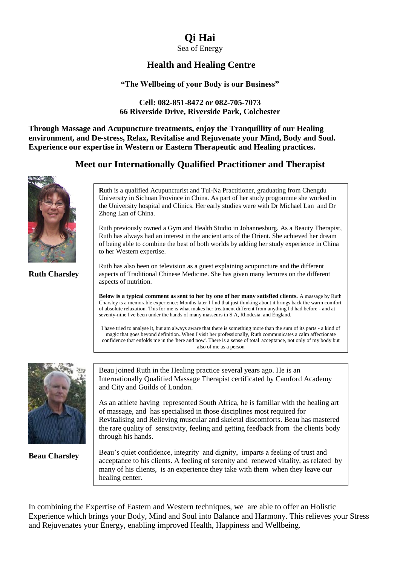# **Qi Hai**

Sea of Energy

## **Health and Healing Centre**

## **"The Wellbeing of your Body is our Business"**

### **Cell: 082-851-8472 or 082-705-7073 66 Riverside Drive, Riverside Park, Colchester** l

**Through Massage and Acupuncture treatments, enjoy the Tranquillity of our Healing environment, and De-stress, Relax, Revitalise and Rejuvenate your Mind, Body and Soul. Experience our expertise in Western or Eastern Therapeutic and Healing practices.**

## **Meet our Internationally Qualified Practitioner and Therapist**



**Ruth Charsley** 

**R**uth is a qualified Acupuncturist and Tui-Na Practitioner, graduating from Chengdu University in Sichuan Province in China. As part of her study programme she worked in the University hospital and Clinics. Her early studies were with Dr Michael Lan and Dr Zhong Lan of China.

Ruth previously owned a Gym and Health Studio in Johannesburg. As a Beauty Therapist, Ruth has always had an interest in the ancient arts of the Orient. She achieved her dream of being able to combine the best of both worlds by adding her study experience in China to her Western expertise.

Ruth has also been on television as a guest explaining acupuncture and the different aspects of Traditional Chinese Medicine. She has given many lectures on the different aspects of nutrition.

**Below is a typical comment as sent to her by one of her many satisfied clients.** A massage by Ruth Charsley is a memorable experience: Months later I find that just thinking about it brings back the warm comfort of absolute relaxation. This for me is what makes her treatment different from anything I'd had before - and at seventy-nine I've been under the hands of many masseurs in S A, Rhodesia, and England.

I have tried to analyse it, but am always aware that there is something more than the sum of its parts - a kind of magic that goes beyond definition..When I visit her professionally, Ruth communicates a calm affectionate confidence that enfolds me in the 'here and now'. There is a sense of total acceptance, not only of my body but also of me as a person



**Beau Charsley** 

Beau joined Ruth in the Healing practice several years ago. He is an Internationally Qualified Massage Therapist certificated by Camford Academy and City and Guilds of London.

As an athlete having represented South Africa, he is familiar with the healing art of massage, and has specialised in those disciplines most required for Revitalising and Relieving muscular and skeletal discomforts. Beau has mastered the rare quality of sensitivity, feeling and getting feedback from the clients body through his hands.

Beau's quiet confidence, integrity and dignity, imparts a feeling of trust and acceptance to his clients. A feeling of serenity and renewed vitality, as related by many of his clients, is an experience they take with them when they leave our healing center.

In combining the Expertise of Eastern and Western techniques, we are able to offer an Holistic Experience which brings your Body, Mind and Soul into Balance and Harmony. This relieves your Stress and Rejuvenates your Energy, enabling improved Health, Happiness and Wellbeing.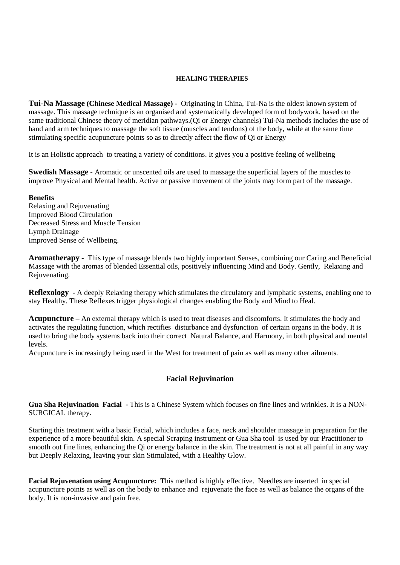#### **HEALING THERAPIES**

**Tui-Na Massage (Chinese Medical Massage) -** Originating in China, Tui-Na is the oldest known system of massage. This massage technique is an organised and systematically developed form of bodywork, based on the same traditional Chinese theory of meridian pathways.(Qi or Energy channels) Tui-Na methods includes the use of hand and arm techniques to massage the soft tissue (muscles and tendons) of the body, while at the same time stimulating specific acupuncture points so as to directly affect the flow of Qi or Energy

It is an Holistic approach to treating a variety of conditions. It gives you a positive feeling of wellbeing

**Swedish Massage -** Aromatic or unscented oils are used to massage the superficial layers of the muscles to improve Physical and Mental health. Active or passive movement of the joints may form part of the massage.

#### **Benefits**

Relaxing and Rejuvenating Improved Blood Circulation Decreased Stress and Muscle Tension Lymph Drainage Improved Sense of Wellbeing.

**Aromatherapy -** This type of massage blends two highly important Senses, combining our Caring and Beneficial Massage with the aromas of blended Essential oils, positively influencing Mind and Body. Gently, Relaxing and Rejuvenating.

**Reflexology -** A deeply Relaxing therapy which stimulates the circulatory and lymphatic systems, enabling one to stay Healthy. These Reflexes trigger physiological changes enabling the Body and Mind to Heal.

**Acupuncture –** An external therapy which is used to treat diseases and discomforts. It stimulates the body and activates the regulating function, which rectifies disturbance and dysfunction of certain organs in the body. It is used to bring the body systems back into their correct Natural Balance, and Harmony, in both physical and mental levels.

Acupuncture is increasingly being used in the West for treatment of pain as well as many other ailments.

### **Facial Rejuvination**

**Gua Sha Rejuvination Facial -** This is a Chinese System which focuses on fine lines and wrinkles. It is a NON-SURGICAL therapy.

Starting this treatment with a basic Facial, which includes a face, neck and shoulder massage in preparation for the experience of a more beautiful skin. A special Scraping instrument or Gua Sha tool is used by our Practitioner to smooth out fine lines, enhancing the Qi or energy balance in the skin. The treatment is not at all painful in any way but Deeply Relaxing, leaving your skin Stimulated, with a Healthy Glow.

**Facial Rejuvenation using Acupuncture:** This method is highly effective. Needles are inserted in special acupuncture points as well as on the body to enhance and rejuvenate the face as well as balance the organs of the body. It is non-invasive and pain free.